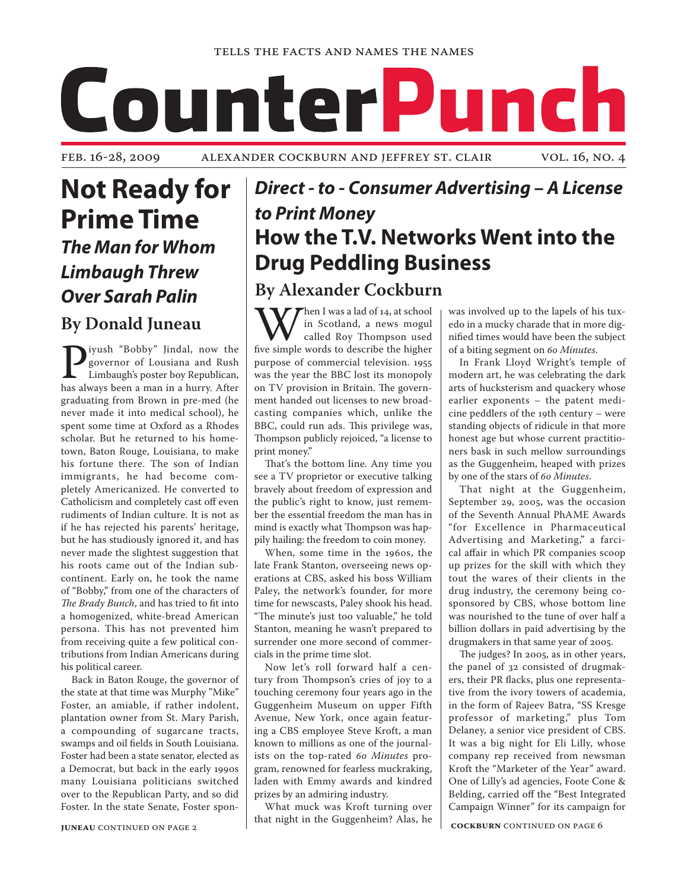#### Tells the Facts and Names the Names



# **Not Ready for Prime Time** *The Man for Whom Limbaugh Threw Over Sarah Palin* **By Donald Juneau**

Piyush "Bobby" Jindal, now the governor of Lousiana and Rush Limbaugh's poster boy Republican, has always been a man in a hurry. After graduating from Brown in pre-med (he never made it into medical school), he spent some time at Oxford as a Rhodes scholar. But he returned to his hometown, Baton Rouge, Louisiana, to make his fortune there. The son of Indian immigrants, he had become completely Americanized. He converted to Catholicism and completely cast off even rudiments of Indian culture. It is not as if he has rejected his parents' heritage, but he has studiously ignored it, and has never made the slightest suggestion that his roots came out of the Indian subcontinent. Early on, he took the name of "Bobby," from one of the characters of *The Brady Bunch*, and has tried to fit into a homogenized, white-bread American persona. This has not prevented him from receiving quite a few political contributions from Indian Americans during his political career.

Back in Baton Rouge, the governor of the state at that time was Murphy "Mike" Foster, an amiable, if rather indolent, plantation owner from St. Mary Parish, a compounding of sugarcane tracts, swamps and oil fields in South Louisiana. Foster had been a state senator, elected as a Democrat, but back in the early 1990s many Louisiana politicians switched over to the Republican Party, and so did Foster. In the state Senate, Foster spon-

#### **JUNEAU** CONTINUED ON PAGE 2

# *Direct - to - Consumer Advertising – A License to Print Money* **How the T.V. Networks Went into the Drug Peddling Business**

## **By Alexander Cockburn**

**When** I was a lad of 14, at school called Roy Thompson used five simple words to describe the higher in Scotland, a news mogul called Roy Thompson used purpose of commercial television. 1955 was the year the BBC lost its monopoly on TV provision in Britain. The government handed out licenses to new broadcasting companies which, unlike the BBC, could run ads. This privilege was, Thompson publicly rejoiced, "a license to print money."

That's the bottom line. Any time you see a TV proprietor or executive talking bravely about freedom of expression and the public's right to know, just remember the essential freedom the man has in mind is exactly what Thompson was happily hailing: the freedom to coin money.

When, some time in the 1960s, the late Frank Stanton, overseeing news operations at CBS, asked his boss William Paley, the network's founder, for more time for newscasts, Paley shook his head. "The minute's just too valuable," he told Stanton, meaning he wasn't prepared to surrender one more second of commercials in the prime time slot.

Now let's roll forward half a century from Thompson's cries of joy to a touching ceremony four years ago in the Guggenheim Museum on upper Fifth Avenue, New York, once again featuring a CBS employee Steve Kroft, a man known to millions as one of the journalists on the top-rated *60 Minutes* program, renowned for fearless muckraking, laden with Emmy awards and kindred prizes by an admiring industry.

What muck was Kroft turning over that night in the Guggenheim? Alas, he

was involved up to the lapels of his tuxedo in a mucky charade that in more dignified times would have been the subject of a biting segment on *60 Minutes*.

In Frank Lloyd Wright's temple of modern art, he was celebrating the dark arts of hucksterism and quackery whose earlier exponents – the patent medicine peddlers of the 19th century – were standing objects of ridicule in that more honest age but whose current practitioners bask in such mellow surroundings as the Guggenheim, heaped with prizes by one of the stars of *60 Minutes*.

That night at the Guggenheim, September 29, 2005, was the occasion of the Seventh Annual PhAME Awards "for Excellence in Pharmaceutical Advertising and Marketing," a farcical affair in which PR companies scoop up prizes for the skill with which they tout the wares of their clients in the drug industry, the ceremony being cosponsored by CBS, whose bottom line was nourished to the tune of over half a billion dollars in paid advertising by the drugmakers in that same year of 2005.

The judges? In 2005, as in other years, the panel of 32 consisted of drugmakers, their PR flacks, plus one representative from the ivory towers of academia, in the form of Rajeev Batra, "SS Kresge professor of marketing," plus Tom Delaney, a senior vice president of CBS. It was a big night for Eli Lilly, whose company rep received from newsman Kroft the "Marketer of the Year" award. One of Lilly's ad agencies, Foote Cone & Belding, carried off the "Best Integrated Campaign Winner" for its campaign for

**COCKBURN** CONTINUED ON PAGE 6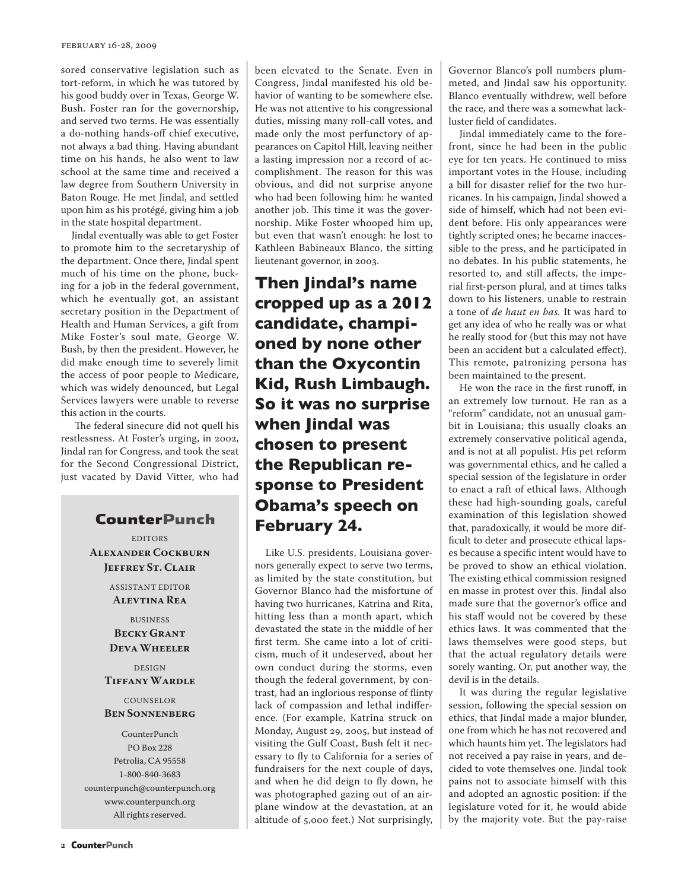sored conservative legislation such as tort-reform, in which he was tutored by his good buddy over in Texas, George W. Bush. Foster ran for the governorship, and served two terms. He was essentially a do-nothing hands-off chief executive, not always a bad thing. Having abundant time on his hands, he also went to law school at the same time and received a law degree from Southern University in Baton Rouge. He met Jindal, and settled upon him as his protégé, giving him a job in the state hospital department.

Jindal eventually was able to get Foster to promote him to the secretaryship of the department. Once there, Jindal spent much of his time on the phone, bucking for a job in the federal government, which he eventually got, an assistant secretary position in the Department of Health and Human Services, a gift from Mike Foster's soul mate, George W. Bush, by then the president. However, he did make enough time to severely limit the access of poor people to Medicare, which was widely denounced, but Legal Services lawyers were unable to reverse this action in the courts.

 The federal sinecure did not quell his restlessness. At Foster's urging, in 2002, Jindal ran for Congress, and took the seat for the Second Congressional District, just vacated by David Vitter, who had

### CounterPunch

EDITORS **Alexander Cockburn Jeffrey St. Clair**

> ASSISTANT EDITOR **Alevtina Rea**

BUSINESS **Becky Grant Deva Wheeler**

DESIGN **Tiffany Wardle**

#### **COUNSELOR Ben Sonnenberg**

CounterPunch PO Box 228 Petrolia, CA 95558 1-800-840-3683 counterpunch@counterpunch.org www.counterpunch.org All rights reserved.

been elevated to the Senate. Even in Congress, Jindal manifested his old behavior of wanting to be somewhere else. He was not attentive to his congressional duties, missing many roll-call votes, and made only the most perfunctory of appearances on Capitol Hill, leaving neither a lasting impression nor a record of accomplishment. The reason for this was obvious, and did not surprise anyone who had been following him: he wanted another job. This time it was the governorship. Mike Foster whooped him up, but even that wasn't enough: he lost to Kathleen Babineaux Blanco, the sitting lieutenant governor, in 2003.

**Then Jindal's name cropped up as a 2012 candidate, championed by none other than the Oxycontin Kid, Rush Limbaugh. So it was no surprise when Jindal was chosen to present the Republican response to President Obama's speech on February 24.**

Like U.S. presidents, Louisiana governors generally expect to serve two terms, as limited by the state constitution, but Governor Blanco had the misfortune of having two hurricanes, Katrina and Rita, hitting less than a month apart, which devastated the state in the middle of her first term. She came into a lot of criticism, much of it undeserved, about her own conduct during the storms, even though the federal government, by contrast, had an inglorious response of flinty lack of compassion and lethal indifference. (For example, Katrina struck on Monday, August 29, 2005, but instead of visiting the Gulf Coast, Bush felt it necessary to fly to California for a series of fundraisers for the next couple of days, and when he did deign to fly down, he was photographed gazing out of an airplane window at the devastation, at an altitude of 5,000 feet.) Not surprisingly,

Governor Blanco's poll numbers plummeted, and Jindal saw his opportunity. Blanco eventually withdrew, well before the race, and there was a somewhat lackluster field of candidates.

Jindal immediately came to the forefront, since he had been in the public eye for ten years. He continued to miss important votes in the House, including a bill for disaster relief for the two hurricanes. In his campaign, Jindal showed a side of himself, which had not been evident before. His only appearances were tightly scripted ones; he became inaccessible to the press, and he participated in no debates. In his public statements, he resorted to, and still affects, the imperial first-person plural, and at times talks down to his listeners, unable to restrain a tone of *de haut en bas.* It was hard to get any idea of who he really was or what he really stood for (but this may not have been an accident but a calculated effect). This remote, patronizing persona has been maintained to the present.

He won the race in the first runoff, in an extremely low turnout. He ran as a "reform" candidate, not an unusual gambit in Louisiana; this usually cloaks an extremely conservative political agenda, and is not at all populist. His pet reform was governmental ethics, and he called a special session of the legislature in order to enact a raft of ethical laws. Although these had high-sounding goals, careful examination of this legislation showed that, paradoxically, it would be more difficult to deter and prosecute ethical lapses because a specific intent would have to be proved to show an ethical violation. The existing ethical commission resigned en masse in protest over this. Jindal also made sure that the governor's office and his staff would not be covered by these ethics laws. It was commented that the laws themselves were good steps, but that the actual regulatory details were sorely wanting. Or, put another way, the devil is in the details.

It was during the regular legislative session, following the special session on ethics, that Jindal made a major blunder, one from which he has not recovered and which haunts him yet. The legislators had not received a pay raise in years, and decided to vote themselves one. Jindal took pains not to associate himself with this and adopted an agnostic position: if the legislature voted for it, he would abide by the majority vote. But the pay-raise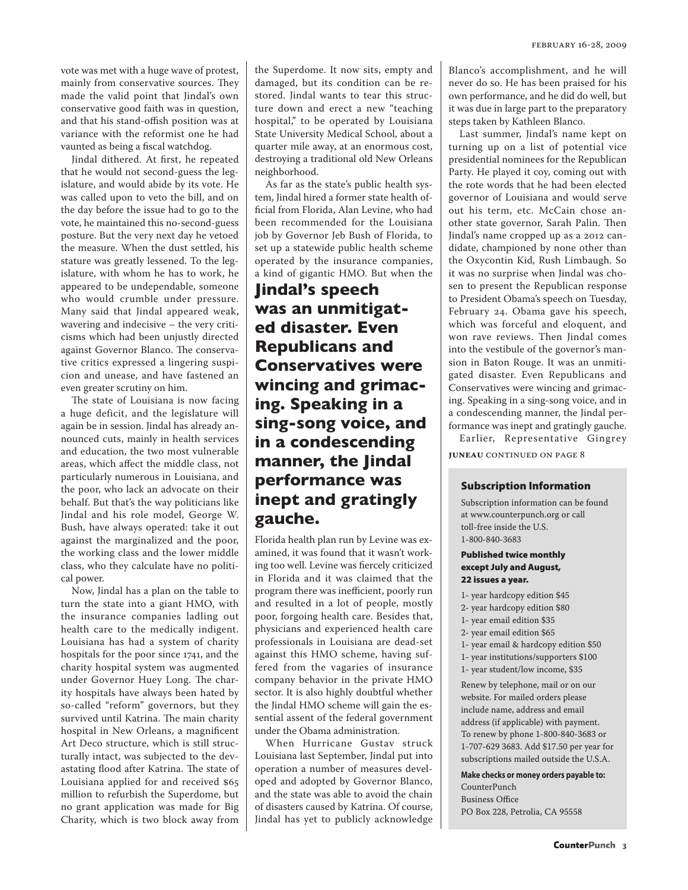vote was met with a huge wave of protest, mainly from conservative sources. They made the valid point that Jindal's own conservative good faith was in question, and that his stand-offish position was at variance with the reformist one he had vaunted as being a fiscal watchdog.

Jindal dithered. At first, he repeated that he would not second-guess the legislature, and would abide by its vote. He was called upon to veto the bill, and on the day before the issue had to go to the vote, he maintained this no-second-guess posture. But the very next day he vetoed the measure. When the dust settled, his stature was greatly lessened. To the legislature, with whom he has to work, he appeared to be undependable, someone who would crumble under pressure. Many said that Jindal appeared weak, wavering and indecisive – the very criticisms which had been unjustly directed against Governor Blanco. The conservative critics expressed a lingering suspicion and unease, and have fastened an even greater scrutiny on him.

The state of Louisiana is now facing a huge deficit, and the legislature will again be in session. Jindal has already announced cuts, mainly in health services and education, the two most vulnerable areas, which affect the middle class, not particularly numerous in Louisiana, and the poor, who lack an advocate on their behalf. But that's the way politicians like Jindal and his role model, George W. Bush, have always operated: take it out against the marginalized and the poor, the working class and the lower middle class, who they calculate have no political power.

Now, Jindal has a plan on the table to turn the state into a giant HMO, with the insurance companies ladling out health care to the medically indigent. Louisiana has had a system of charity hospitals for the poor since 1741, and the charity hospital system was augmented under Governor Huey Long. The charity hospitals have always been hated by so-called "reform" governors, but they survived until Katrina. The main charity hospital in New Orleans, a magnificent Art Deco structure, which is still structurally intact, was subjected to the devastating flood after Katrina. The state of Louisiana applied for and received \$65 million to refurbish the Superdome, but no grant application was made for Big Charity, which is two block away from

the Superdome. It now sits, empty and damaged, but its condition can be restored. Jindal wants to tear this structure down and erect a new "teaching hospital," to be operated by Louisiana State University Medical School, about a quarter mile away, at an enormous cost, destroying a traditional old New Orleans neighborhood.

As far as the state's public health system, Jindal hired a former state health official from Florida, Alan Levine, who had been recommended for the Louisiana job by Governor Jeb Bush of Florida, to set up a statewide public health scheme operated by the insurance companies, a kind of gigantic HMO. But when the

## **Jindal's speech was an unmitigated disaster. Even Republicans and Conservatives were wincing and grimacing. Speaking in a sing-song voice, and in a condescending manner, the Jindal performance was inept and gratingly gauche.**

Florida health plan run by Levine was examined, it was found that it wasn't working too well. Levine was fiercely criticized in Florida and it was claimed that the program there was inefficient, poorly run and resulted in a lot of people, mostly poor, forgoing health care. Besides that, physicians and experienced health care professionals in Louisiana are dead-set against this HMO scheme, having suffered from the vagaries of insurance company behavior in the private HMO sector. It is also highly doubtful whether the Jindal HMO scheme will gain the essential assent of the federal government under the Obama administration.

When Hurricane Gustav struck Louisiana last September, Jindal put into operation a number of measures developed and adopted by Governor Blanco, and the state was able to avoid the chain of disasters caused by Katrina. Of course, Jindal has yet to publicly acknowledge Blanco's accomplishment, and he will never do so. He has been praised for his own performance, and he did do well, but it was due in large part to the preparatory steps taken by Kathleen Blanco.

Last summer, Jindal's name kept on turning up on a list of potential vice presidential nominees for the Republican Party. He played it coy, coming out with the rote words that he had been elected governor of Louisiana and would serve out his term, etc. McCain chose another state governor, Sarah Palin. Then Jindal's name cropped up as a 2012 candidate, championed by none other than the Oxycontin Kid, Rush Limbaugh. So it was no surprise when Jindal was chosen to present the Republican response to President Obama's speech on Tuesday, February 24. Obama gave his speech, which was forceful and eloquent, and won rave reviews. Then Jindal comes into the vestibule of the governor's mansion in Baton Rouge. It was an unmitigated disaster. Even Republicans and Conservatives were wincing and grimacing. Speaking in a sing-song voice, and in a condescending manner, the Jindal performance was inept and gratingly gauche.

Earlier, Representative Gingrey **JUNEAU** CONTINUED ON PAGE 8

#### Subscription Information

Subscription information can be found at www.counterpunch.org or call toll-free inside the U.S. 1-800-840-3683

#### Published twice monthly except July and August, 22 issues a year.

- 1- year hardcopy edition \$45
- 2- year hardcopy edition \$80
- 1- year email edition \$35
- 2- year email edition \$65
- 1- year email & hardcopy edition \$50
- 1- year institutions/supporters \$100
- 1- year student/low income, \$35

Renew by telephone, mail or on our website. For mailed orders please include name, address and email address (if applicable) with payment. To renew by phone 1-800-840-3683 or 1-707-629 3683. Add \$17.50 per year for subscriptions mailed outside the U.S.A.

**Make checks or money orders payable to:** 

CounterPunch Business Office PO Box 228, Petrolia, CA 95558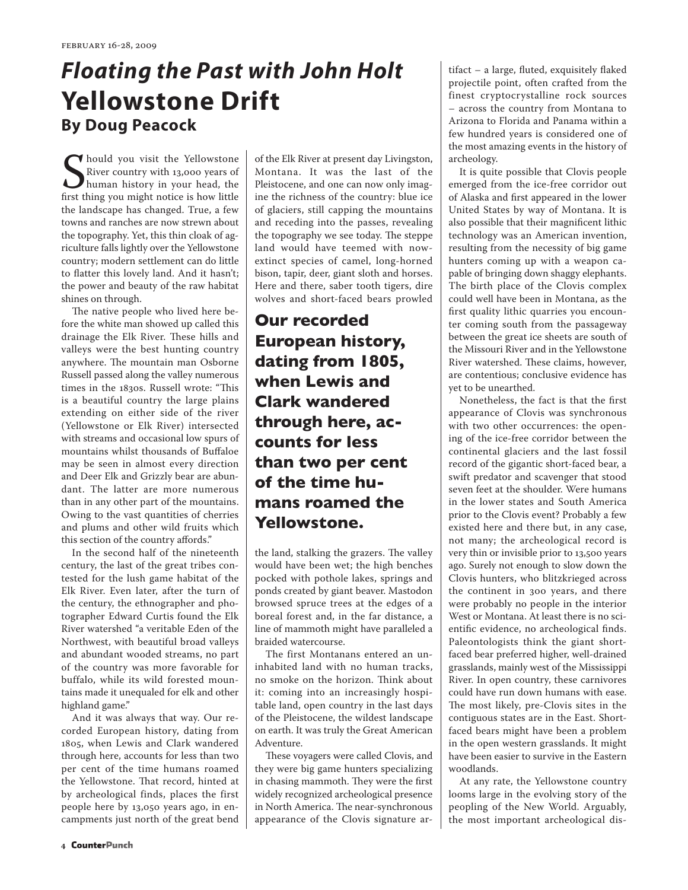# *Floating the Past with John Holt* **Yellowstone Drift By Doug Peacock**

S<br>first t ◆ hould you visit the Yellowstone<br>▶ River country with 13,000 years of River country with 13,000 years of human history in your head, the first thing you might notice is how little the landscape has changed. True, a few towns and ranches are now strewn about the topography. Yet, this thin cloak of agriculture falls lightly over the Yellowstone country; modern settlement can do little to flatter this lovely land. And it hasn't; the power and beauty of the raw habitat shines on through.

The native people who lived here before the white man showed up called this drainage the Elk River. These hills and valleys were the best hunting country anywhere. The mountain man Osborne Russell passed along the valley numerous times in the 1830s. Russell wrote: "This is a beautiful country the large plains extending on either side of the river (Yellowstone or Elk River) intersected with streams and occasional low spurs of mountains whilst thousands of Buffaloe may be seen in almost every direction and Deer Elk and Grizzly bear are abundant. The latter are more numerous than in any other part of the mountains. Owing to the vast quantities of cherries and plums and other wild fruits which this section of the country affords."

In the second half of the nineteenth century, the last of the great tribes contested for the lush game habitat of the Elk River. Even later, after the turn of the century, the ethnographer and photographer Edward Curtis found the Elk River watershed "a veritable Eden of the Northwest, with beautiful broad valleys and abundant wooded streams, no part of the country was more favorable for buffalo, while its wild forested mountains made it unequaled for elk and other highland game."

And it was always that way. Our recorded European history, dating from 1805, when Lewis and Clark wandered through here, accounts for less than two per cent of the time humans roamed the Yellowstone. That record, hinted at by archeological finds, places the first people here by 13,050 years ago, in encampments just north of the great bend of the Elk River at present day Livingston, Montana. It was the last of the Pleistocene, and one can now only imagine the richness of the country: blue ice of glaciers, still capping the mountains and receding into the passes, revealing the topography we see today. The steppe land would have teemed with nowextinct species of camel, long-horned bison, tapir, deer, giant sloth and horses. Here and there, saber tooth tigers, dire wolves and short-faced bears prowled

**Our recorded European history, dating from 1805, when Lewis and Clark wandered through here, accounts for less than two per cent of the time humans roamed the Yellowstone.** 

the land, stalking the grazers. The valley would have been wet; the high benches pocked with pothole lakes, springs and ponds created by giant beaver. Mastodon browsed spruce trees at the edges of a boreal forest and, in the far distance, a line of mammoth might have paralleled a braided watercourse.

The first Montanans entered an uninhabited land with no human tracks, no smoke on the horizon. Think about it: coming into an increasingly hospitable land, open country in the last days of the Pleistocene, the wildest landscape on earth. It was truly the Great American Adventure.

These voyagers were called Clovis, and they were big game hunters specializing in chasing mammoth. They were the first widely recognized archeological presence in North America. The near-synchronous appearance of the Clovis signature artifact – a large, fluted, exquisitely flaked projectile point, often crafted from the finest cryptocrystalline rock sources – across the country from Montana to Arizona to Florida and Panama within a few hundred years is considered one of the most amazing events in the history of archeology.

It is quite possible that Clovis people emerged from the ice-free corridor out of Alaska and first appeared in the lower United States by way of Montana. It is also possible that their magnificent lithic technology was an American invention, resulting from the necessity of big game hunters coming up with a weapon capable of bringing down shaggy elephants. The birth place of the Clovis complex could well have been in Montana, as the first quality lithic quarries you encounter coming south from the passageway between the great ice sheets are south of the Missouri River and in the Yellowstone River watershed. These claims, however, are contentious; conclusive evidence has yet to be unearthed.

Nonetheless, the fact is that the first appearance of Clovis was synchronous with two other occurrences: the opening of the ice-free corridor between the continental glaciers and the last fossil record of the gigantic short-faced bear, a swift predator and scavenger that stood seven feet at the shoulder. Were humans in the lower states and South America prior to the Clovis event? Probably a few existed here and there but, in any case, not many; the archeological record is very thin or invisible prior to 13,500 years ago. Surely not enough to slow down the Clovis hunters, who blitzkrieged across the continent in 300 years, and there were probably no people in the interior West or Montana. At least there is no scientific evidence, no archeological finds. Paleontologists think the giant shortfaced bear preferred higher, well-drained grasslands, mainly west of the Mississippi River. In open country, these carnivores could have run down humans with ease. The most likely, pre-Clovis sites in the contiguous states are in the East. Shortfaced bears might have been a problem in the open western grasslands. It might have been easier to survive in the Eastern woodlands.

At any rate, the Yellowstone country looms large in the evolving story of the peopling of the New World. Arguably, the most important archeological dis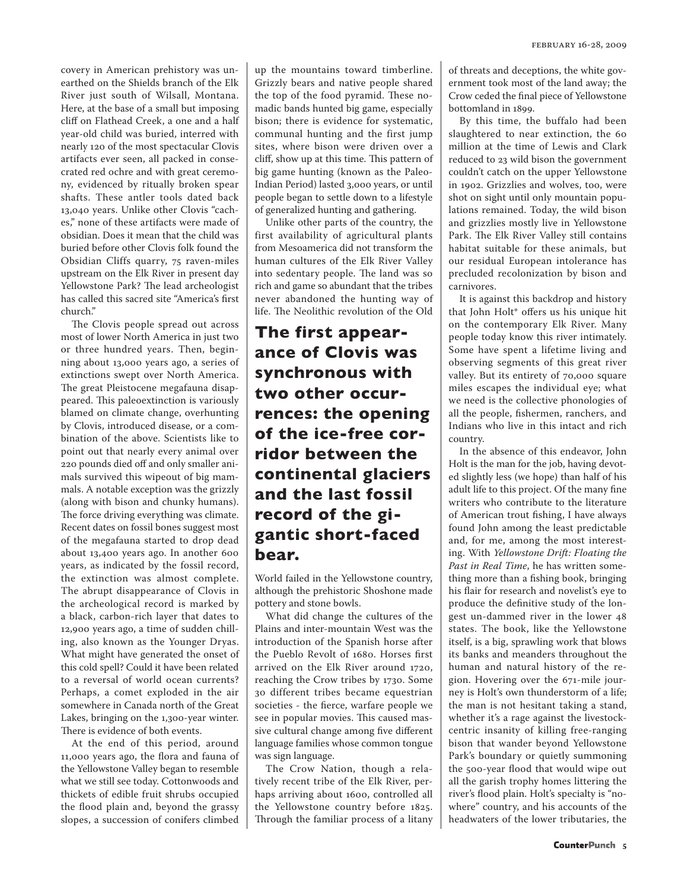covery in American prehistory was unearthed on the Shields branch of the Elk River just south of Wilsall, Montana. Here, at the base of a small but imposing cliff on Flathead Creek, a one and a half year-old child was buried, interred with nearly 120 of the most spectacular Clovis artifacts ever seen, all packed in consecrated red ochre and with great ceremony, evidenced by ritually broken spear shafts. These antler tools dated back 13,040 years. Unlike other Clovis "caches," none of these artifacts were made of obsidian. Does it mean that the child was buried before other Clovis folk found the Obsidian Cliffs quarry, 75 raven-miles upstream on the Elk River in present day Yellowstone Park? The lead archeologist has called this sacred site "America's first church."

The Clovis people spread out across most of lower North America in just two or three hundred years. Then, beginning about 13,000 years ago, a series of extinctions swept over North America. The great Pleistocene megafauna disappeared. This paleoextinction is variously blamed on climate change, overhunting by Clovis, introduced disease, or a combination of the above. Scientists like to point out that nearly every animal over 220 pounds died off and only smaller animals survived this wipeout of big mammals. A notable exception was the grizzly (along with bison and chunky humans). The force driving everything was climate. Recent dates on fossil bones suggest most of the megafauna started to drop dead about 13,400 years ago. In another 600 years, as indicated by the fossil record, the extinction was almost complete. The abrupt disappearance of Clovis in the archeological record is marked by a black, carbon-rich layer that dates to 12,900 years ago, a time of sudden chilling, also known as the Younger Dryas. What might have generated the onset of this cold spell? Could it have been related to a reversal of world ocean currents? Perhaps, a comet exploded in the air somewhere in Canada north of the Great Lakes, bringing on the 1,300-year winter. There is evidence of both events.

At the end of this period, around 11,000 years ago, the flora and fauna of the Yellowstone Valley began to resemble what we still see today. Cottonwoods and thickets of edible fruit shrubs occupied the flood plain and, beyond the grassy slopes, a succession of conifers climbed up the mountains toward timberline. Grizzly bears and native people shared the top of the food pyramid. These nomadic bands hunted big game, especially bison; there is evidence for systematic, communal hunting and the first jump sites, where bison were driven over a cliff, show up at this time. This pattern of big game hunting (known as the Paleo-Indian Period) lasted 3,000 years, or until people began to settle down to a lifestyle of generalized hunting and gathering.

Unlike other parts of the country, the first availability of agricultural plants from Mesoamerica did not transform the human cultures of the Elk River Valley into sedentary people. The land was so rich and game so abundant that the tribes never abandoned the hunting way of life. The Neolithic revolution of the Old

# **The first appearance of Clovis was synchronous with two other occurrences: the opening of the ice-free corridor between the continental glaciers and the last fossil record of the gigantic short-faced bear.**

World failed in the Yellowstone country, although the prehistoric Shoshone made pottery and stone bowls.

What did change the cultures of the Plains and inter-mountain West was the introduction of the Spanish horse after the Pueblo Revolt of 1680. Horses first arrived on the Elk River around 1720, reaching the Crow tribes by 1730. Some 30 different tribes became equestrian societies - the fierce, warfare people we see in popular movies. This caused massive cultural change among five different language families whose common tongue was sign language.

The Crow Nation, though a relatively recent tribe of the Elk River, perhaps arriving about 1600, controlled all the Yellowstone country before 1825. Through the familiar process of a litany of threats and deceptions, the white government took most of the land away; the Crow ceded the final piece of Yellowstone bottomland in 1899.

By this time, the buffalo had been slaughtered to near extinction, the 60 million at the time of Lewis and Clark reduced to 23 wild bison the government couldn't catch on the upper Yellowstone in 1902. Grizzlies and wolves, too, were shot on sight until only mountain populations remained. Today, the wild bison and grizzlies mostly live in Yellowstone Park. The Elk River Valley still contains habitat suitable for these animals, but our residual European intolerance has precluded recolonization by bison and carnivores.

It is against this backdrop and history that John Holt\* offers us his unique hit on the contemporary Elk River. Many people today know this river intimately. Some have spent a lifetime living and observing segments of this great river valley. But its entirety of 70,000 square miles escapes the individual eye; what we need is the collective phonologies of all the people, fishermen, ranchers, and Indians who live in this intact and rich country.

In the absence of this endeavor, John Holt is the man for the job, having devoted slightly less (we hope) than half of his adult life to this project. Of the many fine writers who contribute to the literature of American trout fishing, I have always found John among the least predictable and, for me, among the most interesting. With *Yellowstone Drift: Floating the Past in Real Time*, he has written something more than a fishing book, bringing his flair for research and novelist's eye to produce the definitive study of the longest un-dammed river in the lower 48 states. The book, like the Yellowstone itself, is a big, sprawling work that blows its banks and meanders throughout the human and natural history of the region. Hovering over the 671-mile journey is Holt's own thunderstorm of a life; the man is not hesitant taking a stand, whether it's a rage against the livestockcentric insanity of killing free-ranging bison that wander beyond Yellowstone Park's boundary or quietly summoning the 500-year flood that would wipe out all the garish trophy homes littering the river's flood plain. Holt's specialty is "nowhere" country, and his accounts of the headwaters of the lower tributaries, the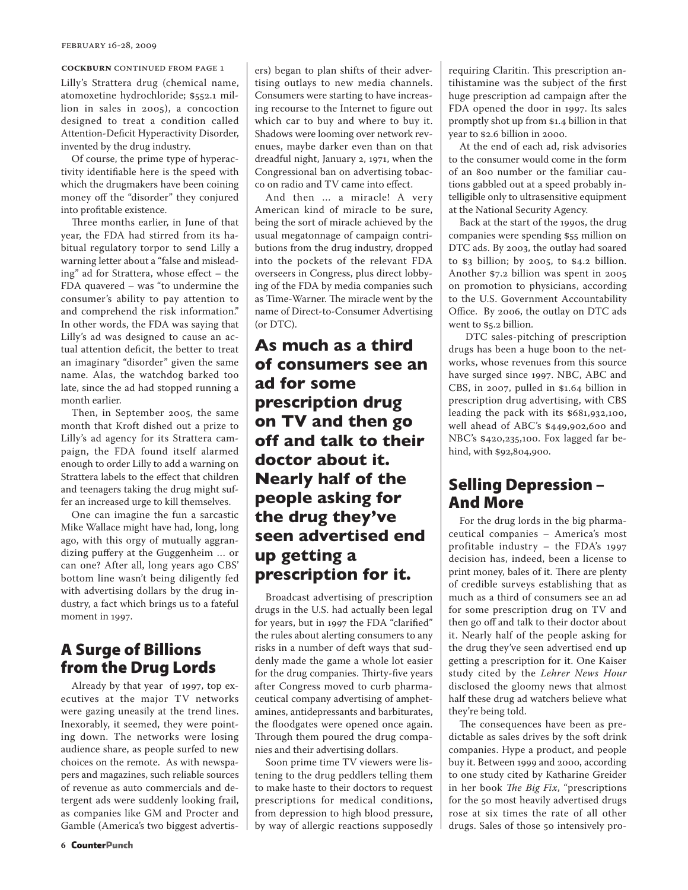#### february 16-28, 2009

**COCKBURN** CONTINUED FROM PAGE 1

Lilly's Strattera drug (chemical name, atomoxetine hydrochloride; \$552.1 million in sales in 2005), a concoction designed to treat a condition called Attention-Deficit Hyperactivity Disorder, invented by the drug industry.

Of course, the prime type of hyperactivity identifiable here is the speed with which the drugmakers have been coining money off the "disorder" they conjured into profitable existence.

Three months earlier, in June of that year, the FDA had stirred from its habitual regulatory torpor to send Lilly a warning letter about a "false and misleading" ad for Strattera, whose effect – the FDA quavered – was "to undermine the consumer's ability to pay attention to and comprehend the risk information." In other words, the FDA was saying that Lilly's ad was designed to cause an actual attention deficit, the better to treat an imaginary "disorder" given the same name. Alas, the watchdog barked too late, since the ad had stopped running a month earlier.

Then, in September 2005, the same month that Kroft dished out a prize to Lilly's ad agency for its Strattera campaign, the FDA found itself alarmed enough to order Lilly to add a warning on Strattera labels to the effect that children and teenagers taking the drug might suffer an increased urge to kill themselves.

One can imagine the fun a sarcastic Mike Wallace might have had, long, long ago, with this orgy of mutually aggrandizing puffery at the Guggenheim … or can one? After all, long years ago CBS' bottom line wasn't being diligently fed with advertising dollars by the drug industry, a fact which brings us to a fateful moment in 1997.

### A Surge of Billions from the Drug Lords

Already by that year of 1997, top executives at the major TV networks were gazing uneasily at the trend lines. Inexorably, it seemed, they were pointing down. The networks were losing audience share, as people surfed to new choices on the remote. As with newspapers and magazines, such reliable sources of revenue as auto commercials and detergent ads were suddenly looking frail, as companies like GM and Procter and Gamble (America's two biggest advertisers) began to plan shifts of their advertising outlays to new media channels. Consumers were starting to have increasing recourse to the Internet to figure out which car to buy and where to buy it. Shadows were looming over network revenues, maybe darker even than on that dreadful night, January 2, 1971, when the Congressional ban on advertising tobacco on radio and TV came into effect.

And then … a miracle! A very American kind of miracle to be sure, being the sort of miracle achieved by the usual megatonnage of campaign contributions from the drug industry, dropped into the pockets of the relevant FDA overseers in Congress, plus direct lobbying of the FDA by media companies such as Time-Warner. The miracle went by the name of Direct-to-Consumer Advertising (or DTC).

## **As much as a third of consumers see an ad for some prescription drug on TV and then go off and talk to their doctor about it. Nearly half of the people asking for the drug they've seen advertised end up getting a prescription for it.**

Broadcast advertising of prescription drugs in the U.S. had actually been legal for years, but in 1997 the FDA "clarified" the rules about alerting consumers to any risks in a number of deft ways that suddenly made the game a whole lot easier for the drug companies. Thirty-five years after Congress moved to curb pharmaceutical company advertising of amphetamines, antidepressants and barbiturates, the floodgates were opened once again. Through them poured the drug companies and their advertising dollars.

Soon prime time TV viewers were listening to the drug peddlers telling them to make haste to their doctors to request prescriptions for medical conditions, from depression to high blood pressure, by way of allergic reactions supposedly requiring Claritin. This prescription antihistamine was the subject of the first huge prescription ad campaign after the FDA opened the door in 1997. Its sales promptly shot up from \$1.4 billion in that year to \$2.6 billion in 2000.

At the end of each ad, risk advisories to the consumer would come in the form of an 800 number or the familiar cautions gabbled out at a speed probably intelligible only to ultrasensitive equipment at the National Security Agency.

Back at the start of the 1990s, the drug companies were spending \$55 million on DTC ads. By 2003, the outlay had soared to \$3 billion; by 2005, to \$4.2 billion. Another \$7.2 billion was spent in 2005 on promotion to physicians, according to the U.S. Government Accountability Office. By 2006, the outlay on DTC ads went to \$5.2 billion.

DTC sales-pitching of prescription drugs has been a huge boon to the networks, whose revenues from this source have surged since 1997. NBC, ABC and CBS, in 2007, pulled in \$1.64 billion in prescription drug advertising, with CBS leading the pack with its \$681,932,100, well ahead of ABC's \$449,902,600 and NBC's \$420,235,100. Fox lagged far behind, with \$92,804,900.

### Selling Depression – And More

For the drug lords in the big pharmaceutical companies – America's most profitable industry – the FDA's 1997 decision has, indeed, been a license to print money, bales of it. There are plenty of credible surveys establishing that as much as a third of consumers see an ad for some prescription drug on TV and then go off and talk to their doctor about it. Nearly half of the people asking for the drug they've seen advertised end up getting a prescription for it. One Kaiser study cited by the *Lehrer News Hour* disclosed the gloomy news that almost half these drug ad watchers believe what they're being told.

The consequences have been as predictable as sales drives by the soft drink companies. Hype a product, and people buy it. Between 1999 and 2000, according to one study cited by Katharine Greider in her book *The Big Fix*, "prescriptions for the 50 most heavily advertised drugs rose at six times the rate of all other drugs. Sales of those 50 intensively pro-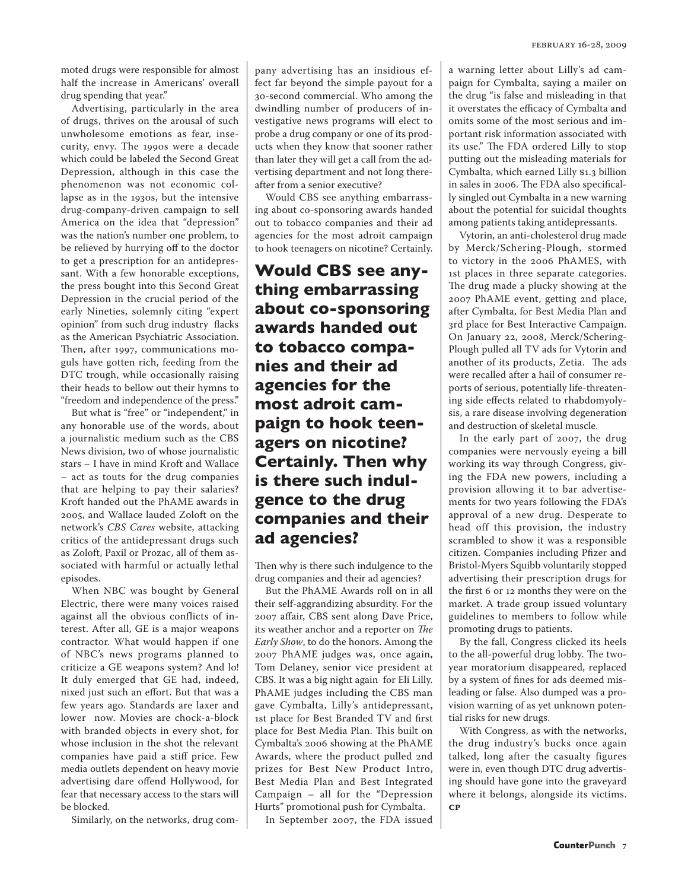moted drugs were responsible for almost half the increase in Americans' overall drug spending that year."

Advertising, particularly in the area of drugs, thrives on the arousal of such unwholesome emotions as fear, insecurity, envy. The 1990s were a decade which could be labeled the Second Great Depression, although in this case the phenomenon was not economic collapse as in the 1930s, but the intensive drug-company-driven campaign to sell America on the idea that "depression" was the nation's number one problem, to be relieved by hurrying off to the doctor to get a prescription for an antidepressant. With a few honorable exceptions, the press bought into this Second Great Depression in the crucial period of the early Nineties, solemnly citing "expert opinion" from such drug industry flacks as the American Psychiatric Association. Then, after 1997, communications moguls have gotten rich, feeding from the DTC trough, while occasionally raising their heads to bellow out their hymns to "freedom and independence of the press."

But what is "free" or "independent," in any honorable use of the words, about a journalistic medium such as the CBS News division, two of whose journalistic stars – I have in mind Kroft and Wallace – act as touts for the drug companies that are helping to pay their salaries? Kroft handed out the PhAME awards in 2005, and Wallace lauded Zoloft on the network's *CBS Cares* website, attacking critics of the antidepressant drugs such as Zoloft, Paxil or Prozac, all of them associated with harmful or actually lethal episodes.

When NBC was bought by General Electric, there were many voices raised against all the obvious conflicts of interest. After all, GE is a major weapons contractor. What would happen if one of NBC's news programs planned to criticize a GE weapons system? And lo! It duly emerged that GE had, indeed, nixed just such an effort. But that was a few years ago. Standards are laxer and lower now. Movies are chock-a-block with branded objects in every shot, for whose inclusion in the shot the relevant companies have paid a stiff price. Few media outlets dependent on heavy movie advertising dare offend Hollywood, for fear that necessary access to the stars will be blocked.

Similarly, on the networks, drug com-

pany advertising has an insidious effect far beyond the simple payout for a 30-second commercial. Who among the dwindling number of producers of investigative news programs will elect to probe a drug company or one of its products when they know that sooner rather than later they will get a call from the advertising department and not long thereafter from a senior executive?

Would CBS see anything embarrassing about co-sponsoring awards handed out to tobacco companies and their ad agencies for the most adroit campaign to hook teenagers on nicotine? Certainly.

**Would CBS see anything embarrassing about co-sponsoring awards handed out to tobacco companies and their ad agencies for the most adroit campaign to hook teenagers on nicotine? Certainly. Then why is there such indulgence to the drug companies and their ad agencies?**

Then why is there such indulgence to the drug companies and their ad agencies?

But the PhAME Awards roll on in all their self-aggrandizing absurdity. For the 2007 affair, CBS sent along Dave Price, its weather anchor and a reporter on *The Early Show*, to do the honors. Among the 2007 PhAME judges was, once again, Tom Delaney, senior vice president at CBS. It was a big night again for Eli Lilly. PhAME judges including the CBS man gave Cymbalta, Lilly's antidepressant, 1st place for Best Branded TV and first place for Best Media Plan. This built on Cymbalta's 2006 showing at the PhAME Awards, where the product pulled 2nd prizes for Best New Product Intro, Best Media Plan and Best Integrated Campaign – all for the "Depression Hurts" promotional push for Cymbalta. In September 2007, the FDA issued

a warning letter about Lilly's ad campaign for Cymbalta, saying a mailer on the drug "is false and misleading in that it overstates the efficacy of Cymbalta and omits some of the most serious and important risk information associated with its use." The FDA ordered Lilly to stop putting out the misleading materials for Cymbalta, which earned Lilly \$1.3 billion in sales in 2006. The FDA also specifically singled out Cymbalta in a new warning about the potential for suicidal thoughts among patients taking antidepressants.

Vytorin, an anti-cholesterol drug made by Merck/Schering-Plough, stormed to victory in the 2006 PhAMES, with 1st places in three separate categories. The drug made a plucky showing at the 2007 PhAME event, getting 2nd place, after Cymbalta, for Best Media Plan and 3rd place for Best Interactive Campaign. On January 22, 2008, Merck/Schering-Plough pulled all TV ads for Vytorin and another of its products, Zetia. The ads were recalled after a hail of consumer reports of serious, potentially life-threatening side effects related to rhabdomyolysis, a rare disease involving degeneration and destruction of skeletal muscle.

In the early part of 2007, the drug companies were nervously eyeing a bill working its way through Congress, giving the FDA new powers, including a provision allowing it to bar advertisements for two years following the FDA's approval of a new drug. Desperate to head off this provision, the industry scrambled to show it was a responsible citizen. Companies including Pfizer and Bristol-Myers Squibb voluntarily stopped advertising their prescription drugs for the first 6 or 12 months they were on the market. A trade group issued voluntary guidelines to members to follow while promoting drugs to patients.

By the fall, Congress clicked its heels to the all-powerful drug lobby. The twoyear moratorium disappeared, replaced by a system of fines for ads deemed misleading or false. Also dumped was a provision warning of as yet unknown potential risks for new drugs.

With Congress, as with the networks, the drug industry's bucks once again talked, long after the casualty figures were in, even though DTC drug advertising should have gone into the graveyard where it belongs, alongside its victims. **cp**